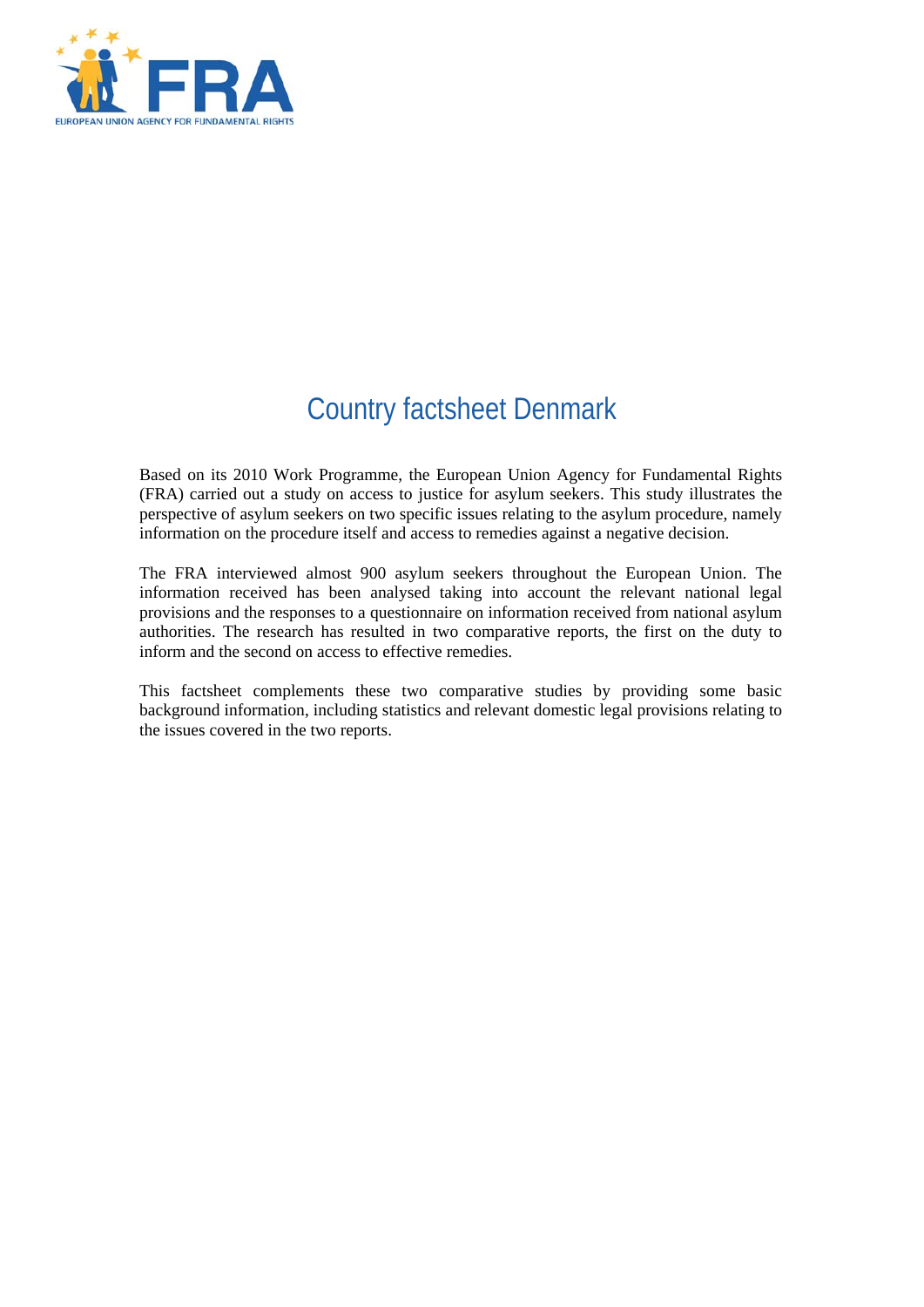

# Country factsheet Denmark

Based on its 2010 Work Programme, the European Union Agency for Fundamental Rights (FRA) carried out a study on access to justice for asylum seekers. This study illustrates the perspective of asylum seekers on two specific issues relating to the asylum procedure, namely information on the procedure itself and access to remedies against a negative decision.

The FRA interviewed almost 900 asylum seekers throughout the European Union. The information received has been analysed taking into account the relevant national legal provisions and the responses to a questionnaire on information received from national asylum authorities. The research has resulted in two comparative reports, the first on the duty to inform and the second on access to effective remedies.

This factsheet complements these two comparative studies by providing some basic background information, including statistics and relevant domestic legal provisions relating to the issues covered in the two reports.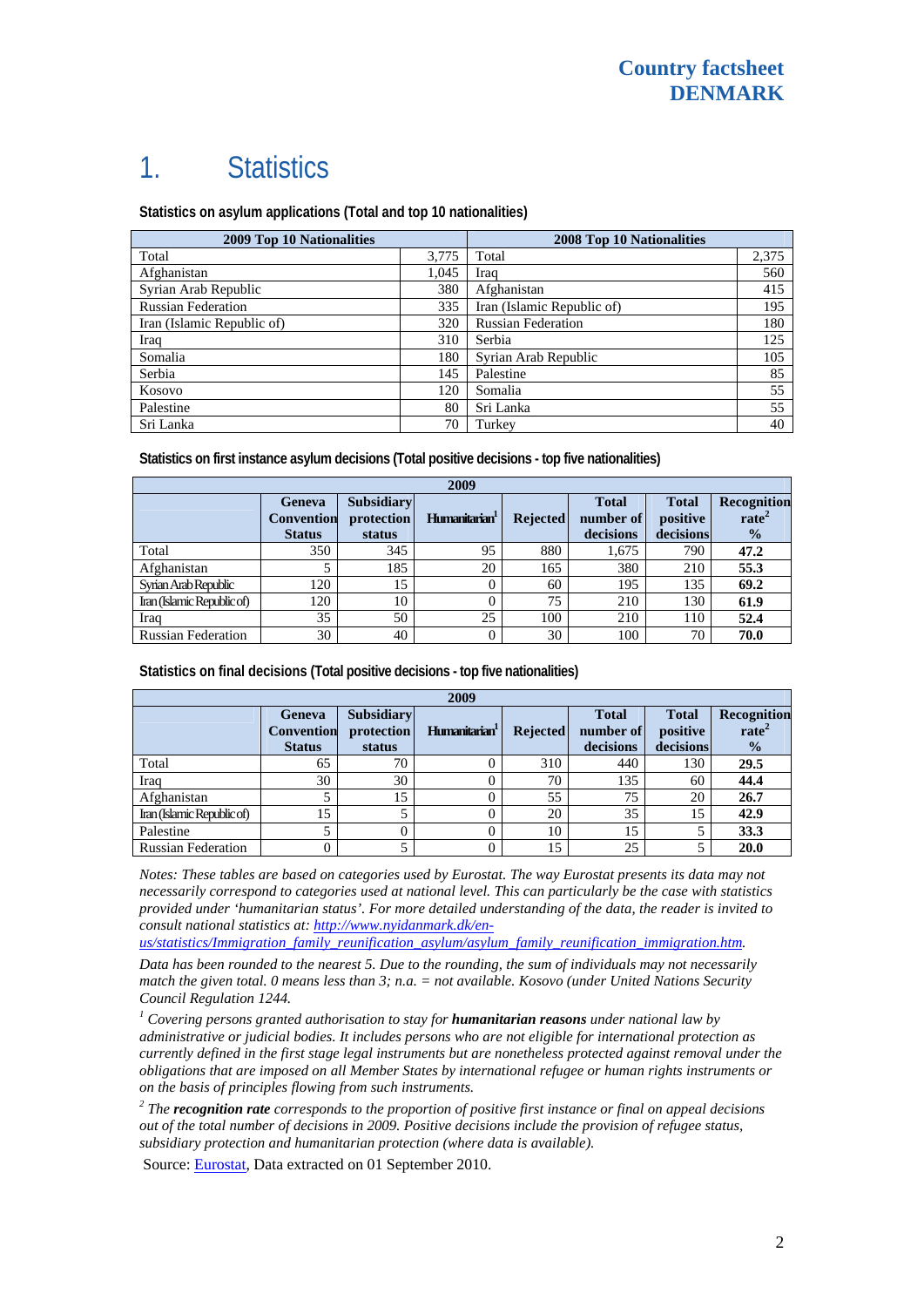## 1. Statistics

**Statistics on asylum applications (Total and top 10 nationalities)**

| <b>2009 Top 10 Nationalities</b> |       | <b>2008 Top 10 Nationalities</b> |       |  |
|----------------------------------|-------|----------------------------------|-------|--|
| Total                            | 3,775 | Total                            | 2,375 |  |
| Afghanistan                      | 1.045 | Iraq                             | 560   |  |
| Syrian Arab Republic             | 380   | Afghanistan                      | 415   |  |
| <b>Russian Federation</b>        | 335   | Iran (Islamic Republic of)       | 195   |  |
| Iran (Islamic Republic of)       | 320   | <b>Russian Federation</b>        | 180   |  |
| Iraq                             | 310   | Serbia                           | 125   |  |
| Somalia                          | 180   | Syrian Arab Republic             | 105   |  |
| Serbia                           | 145   | Palestine                        | 85    |  |
| Kosovo                           | 120   | Somalia                          | 55    |  |
| Palestine                        | 80    | Sri Lanka                        | 55    |  |
| Sri Lanka                        | 70    | Turkey                           | 40    |  |

**Statistics on first instance asylum decisions (Total positive decisions - top five nationalities)**

| 2009                       |                                              |                                           |                           |                 |                                        |                                       |                                                   |
|----------------------------|----------------------------------------------|-------------------------------------------|---------------------------|-----------------|----------------------------------------|---------------------------------------|---------------------------------------------------|
|                            | Geneva<br><b>Convention</b><br><b>Status</b> | <b>Subsidiary</b><br>protection<br>status | Humanitarian <sup>1</sup> | <b>Rejected</b> | <b>Total</b><br>number of<br>decisions | <b>Total</b><br>positive<br>decisions | Recognition<br>rate <sup>2</sup><br>$\frac{6}{9}$ |
| Total                      | 350                                          | 345                                       | 95                        | 880             | 1,675                                  | 790                                   | 47.2                                              |
| Afghanistan                |                                              | 185                                       | 20                        | 165             | 380                                    | 210                                   | 55.3                                              |
| Syrian Arab Republic       | 120                                          | 15                                        |                           | 60              | 195                                    | 135                                   | 69.2                                              |
| Iran (Islamic Republic of) | 120                                          | 10                                        |                           | 75              | 210                                    | 130                                   | 61.9                                              |
| Iraq                       | 35                                           | 50                                        | 25                        | 100             | 210                                    | 110                                   | 52.4                                              |
| <b>Russian Federation</b>  | 30                                           | 40                                        |                           | 30              | 100                                    | 70                                    | 70.0                                              |

**Statistics on final decisions (Total positive decisions - top five nationalities)** 

| 2009                       |                                              |                                           |                           |                 |                                        |                                       |                                                   |
|----------------------------|----------------------------------------------|-------------------------------------------|---------------------------|-----------------|----------------------------------------|---------------------------------------|---------------------------------------------------|
|                            | Geneva<br><b>Convention</b><br><b>Status</b> | <b>Subsidiary</b><br>protection<br>status | Humanitarian <sup>1</sup> | <b>Rejected</b> | <b>Total</b><br>number of<br>decisions | <b>Total</b><br>positive<br>decisions | Recognition<br>rate <sup>2</sup><br>$\frac{0}{2}$ |
| Total                      | 65                                           | 70                                        |                           | 310             | 440                                    | 130                                   | 29.5                                              |
| Iraq                       | 30                                           | 30                                        |                           | 70              | 135                                    | 60                                    | 44.4                                              |
| Afghanistan                |                                              | 15                                        |                           | 55              | 75                                     | 20                                    | 26.7                                              |
| Iran (Islamic Republic of) | 15                                           |                                           |                           | 20              | 35                                     | 15                                    | 42.9                                              |
| Palestine                  |                                              |                                           |                           | 10              | 15                                     |                                       | 33.3                                              |
| <b>Russian Federation</b>  |                                              |                                           |                           | 15              | 25                                     |                                       | 20.0                                              |

*Notes: These tables are based on categories used by Eurostat. The way Eurostat presents its data may not necessarily correspond to categories used at national level. This can particularly be the case with statistics provided under 'humanitarian status'. For more detailed understanding of the data, the reader is invited to consult national statistics at: [http://www.nyidanmark.dk/en-](http://www.nyidanmark.dk/en-us/statistics/Immigration_family_reunification_asylum/asylum_family_reunification_immigration.htm)*

*[us/statistics/Immigration\\_family\\_reunification\\_asylum/asylum\\_family\\_reunification\\_immigration.htm.](http://www.nyidanmark.dk/en-us/statistics/Immigration_family_reunification_asylum/asylum_family_reunification_immigration.htm)* 

*Data has been rounded to the nearest 5. Due to the rounding, the sum of individuals may not necessarily match the given total. 0 means less than 3; n.a. = not available. Kosovo (under United Nations Security Council Regulation 1244.* 

<sup>1</sup> Covering persons granted authorisation to stay for **humanitarian reasons** under national law by *administrative or judicial bodies. It includes persons who are not eligible for international protection as currently defined in the first stage legal instruments but are nonetheless protected against removal under the obligations that are imposed on all Member States by international refugee or human rights instruments or on the basis of principles flowing from such instruments.* 

*2 The recognition rate corresponds to the proportion of positive first instance or final on appeal decisions out of the total number of decisions in 2009. Positive decisions include the provision of refugee status, subsidiary protection and humanitarian protection (where data is available).* 

Source: [Eurostat,](http://epp.eurostat.ec.europa.eu/) Data extracted on 01 September 2010.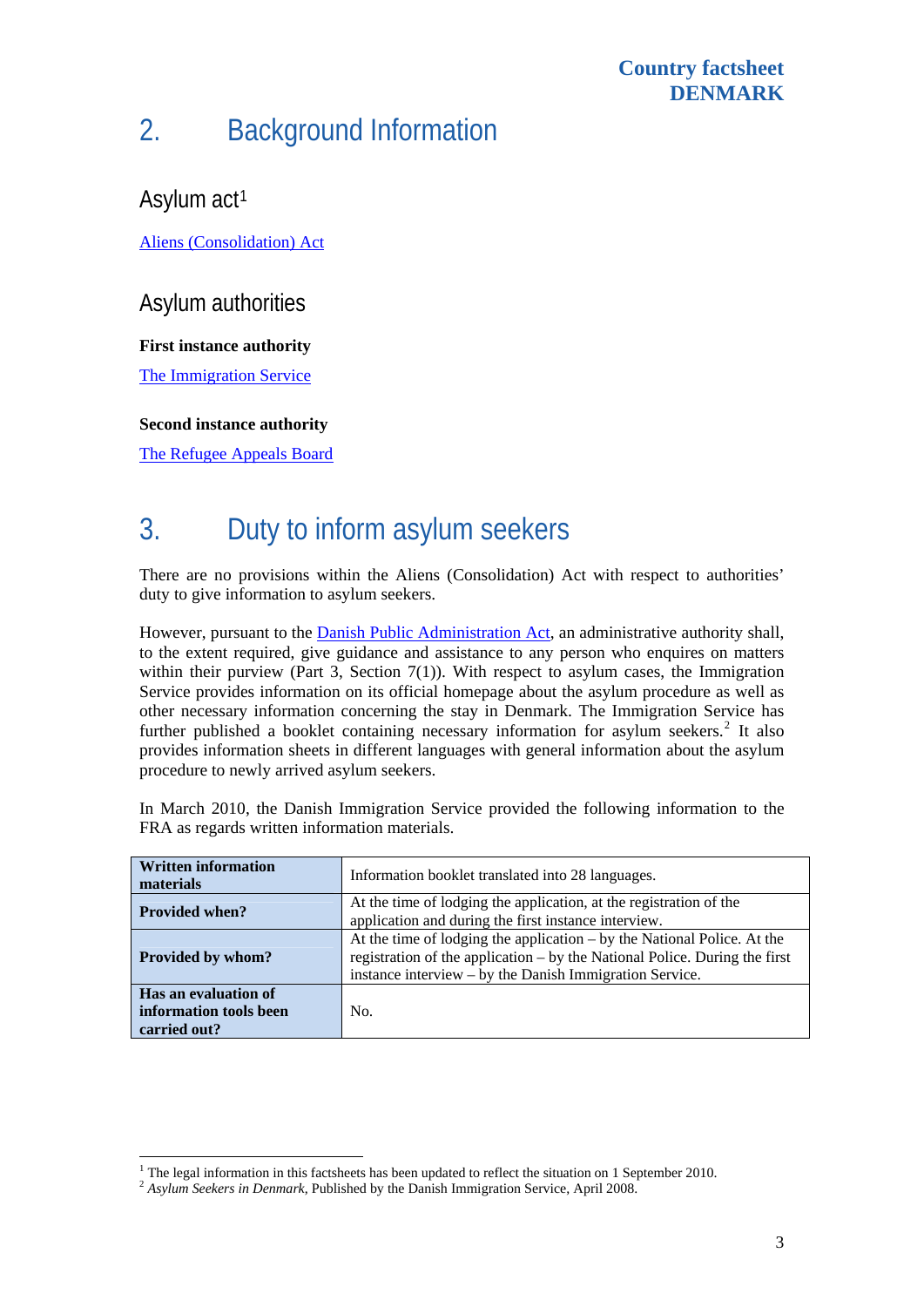#### **Country factsheet DENMARK**

# 2. Background Information

Asylum act<sup>[1](#page-2-0)</sup>

[Aliens \(Consolidation\) Act](http://www.nyidanmark.dk/NR/rdonlyres/C2A9678D-73B3-41B0-A076-67C6660E482B/0/alens_consolidation_act_english.pdf)

Asylum authorities

**First instance authority** 

[The Immigration Service](http://www.nyidanmark.dk/)

#### **Second instance authority**

[The Refugee Appeals Board](http://www.fln.dk/) 

l

### 3. Duty to inform asylum seekers

There are no provisions within the Aliens (Consolidation) Act with respect to authorities' duty to give information to asylum seekers.

However, pursuant to the [Danish Public Administration Act,](http://www.ambhanoi.um.dk/NR/rdonlyres/52736762-EC3B-46A4-9B8D-922A7F9230AF/0/TheDanishPublicAdministrationAct.pdf) an administrative authority shall, to the extent required, give guidance and assistance to any person who enquires on matters within their purview (Part 3, Section 7(1)). With respect to asylum cases, the Immigration Service provides information on its official homepage about the asylum procedure as well as other necessary information concerning the stay in Denmark. The Immigration Service has further published a booklet containing necessary information for asylum seekers.<sup>[2](#page-2-1)</sup> It also provides information sheets in different languages with general information about the asylum procedure to newly arrived asylum seekers.

In March 2010, the Danish Immigration Service provided the following information to the FRA as regards written information materials.

| <b>Written information</b><br>materials                        | Information booklet translated into 28 languages.                                                                                                                                                                  |  |  |
|----------------------------------------------------------------|--------------------------------------------------------------------------------------------------------------------------------------------------------------------------------------------------------------------|--|--|
| <b>Provided when?</b>                                          | At the time of lodging the application, at the registration of the<br>application and during the first instance interview.                                                                                         |  |  |
| Provided by whom?                                              | At the time of lodging the application $-$ by the National Police. At the<br>registration of the application – by the National Police. During the first<br>instance interview – by the Danish Immigration Service. |  |  |
| Has an evaluation of<br>information tools been<br>carried out? | No.                                                                                                                                                                                                                |  |  |

<span id="page-2-0"></span><sup>&</sup>lt;sup>1</sup> The legal information in this facts heats has been updated to reflect the situation on 1 September 2010.

<span id="page-2-1"></span><sup>&</sup>lt;sup>2</sup> Asylum Seekers in Denmark, Published by the Danish Immigration Service, April 2008.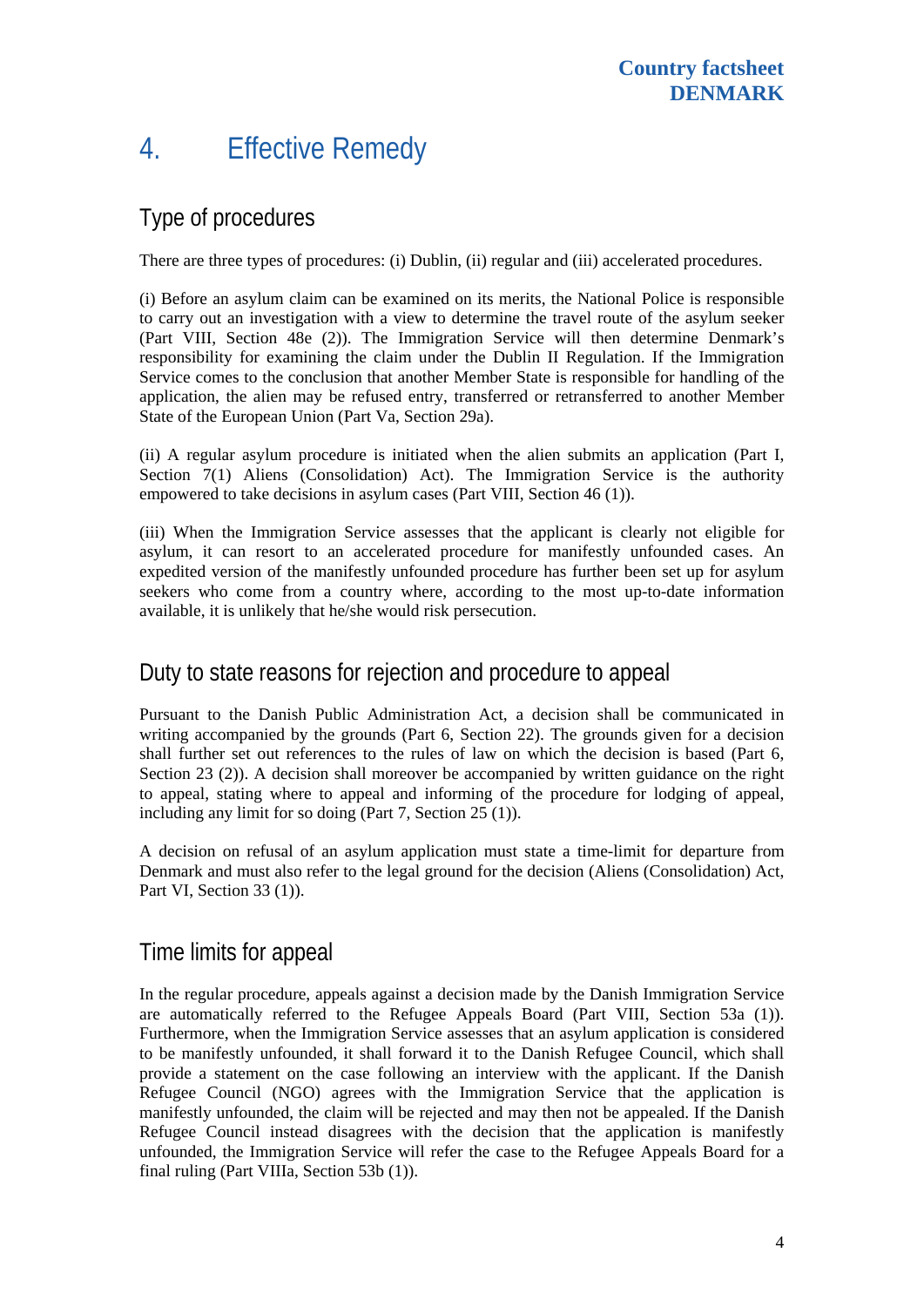### 4. Effective Remedy

#### Type of procedures

There are three types of procedures: (i) Dublin, (ii) regular and (iii) accelerated procedures.

(i) Before an asylum claim can be examined on its merits, the National Police is responsible to carry out an investigation with a view to determine the travel route of the asylum seeker (Part VIII, Section 48e (2)). The Immigration Service will then determine Denmark's responsibility for examining the claim under the Dublin II Regulation. If the Immigration Service comes to the conclusion that another Member State is responsible for handling of the application, the alien may be refused entry, transferred or retransferred to another Member State of the European Union (Part Va, Section 29a).

(ii) A regular asylum procedure is initiated when the alien submits an application (Part I, Section 7(1) Aliens (Consolidation) Act). The Immigration Service is the authority empowered to take decisions in asylum cases (Part VIII, Section 46 (1)).

(iii) When the Immigration Service assesses that the applicant is clearly not eligible for asylum, it can resort to an accelerated procedure for manifestly unfounded cases. An expedited version of the manifestly unfounded procedure has further been set up for asylum seekers who come from a country where, according to the most up-to-date information available, it is unlikely that he/she would risk persecution.

#### Duty to state reasons for rejection and procedure to appeal

Pursuant to the Danish Public Administration Act, a decision shall be communicated in writing accompanied by the grounds (Part 6, Section 22). The grounds given for a decision shall further set out references to the rules of law on which the decision is based (Part 6, Section 23 (2)). A decision shall moreover be accompanied by written guidance on the right to appeal, stating where to appeal and informing of the procedure for lodging of appeal, including any limit for so doing (Part 7, Section 25 (1)).

A decision on refusal of an asylum application must state a time-limit for departure from Denmark and must also refer to the legal ground for the decision (Aliens (Consolidation) Act, Part VI, Section 33 (1)).

### Time limits for appeal

In the regular procedure, appeals against a decision made by the Danish Immigration Service are automatically referred to the Refugee Appeals Board (Part VIII, Section 53a (1)). Furthermore, when the Immigration Service assesses that an asylum application is considered to be manifestly unfounded, it shall forward it to the Danish Refugee Council, which shall provide a statement on the case following an interview with the applicant. If the [Danish](http://www.drc.dk/about-drc/)  [Refugee Council](http://www.drc.dk/about-drc/) (NGO) agrees with the Immigration Service that the application is manifestly unfounded, the claim will be rejected and may then not be appealed. If the Danish Refugee Council instead disagrees with the decision that the application is manifestly unfounded, the Immigration Service will refer the case to the Refugee Appeals Board for a final ruling (Part VIIIa, Section 53b (1)).